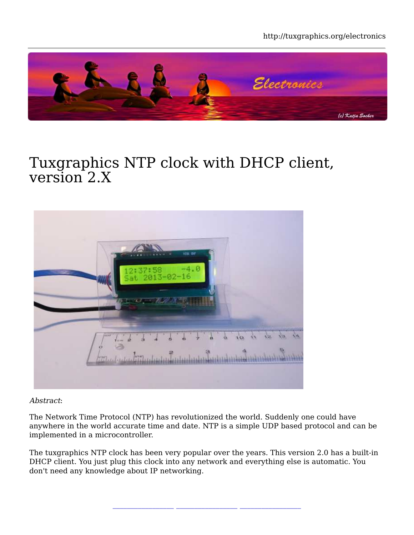http://tuxgraphics.org/electronics



#### Tuxgraphics NTP clock with DHCP client, version 2.X



Abstract:

The Network Time Protocol (NTP) has revolutionized the world. Suddenly one could have anywhere in the world accurate time and date. NTP is a simple UDP based protocol and can be implemented in a microcontroller.

The tuxgraphics NTP clock has been very popular over the years. This version 2.0 has a built-in DHCP client. You just plug this clock into any network and everything else is automatic. You don't need any knowledge about IP networking.

**\_\_\_\_\_\_\_\_\_\_\_\_\_\_\_\_\_ \_\_\_\_\_\_\_\_\_\_\_\_\_\_\_\_\_ \_\_\_\_\_\_\_\_\_\_\_\_\_\_\_\_\_**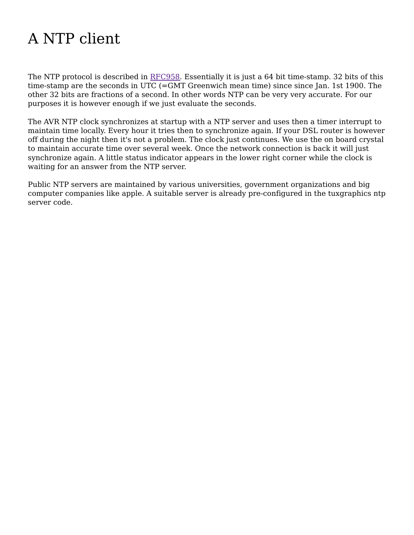# A NTP client

The NTP protocol is described in RFC958. Essentially it is just a 64 bit time-stamp. 32 bits of this time-stamp are the seconds in UTC (=GMT Greenwich mean time) since since Jan. 1st 1900. The other 32 bits are fractions of a second. In other words NTP can be very very accurate. For our purposes it is however enough if we just evaluate the seconds.

The AVR NTP clock synchronizes at startup with a NTP server and uses then a timer interrupt to maintain time locally. Every hour it tries then to synchronize again. If your DSL router is however off during the night then it's not a problem. The clock just continues. We use the on board crystal to maintain accurate time over several week. Once the network connection is back it will just synchronize again. A little status indicator appears in the lower right corner while the clock is waiting for an answer from the NTP server.

Public NTP servers are maintained by various universities, government organizations and big computer companies like apple. A suitable server is already pre-configured in the tuxgraphics ntp server code.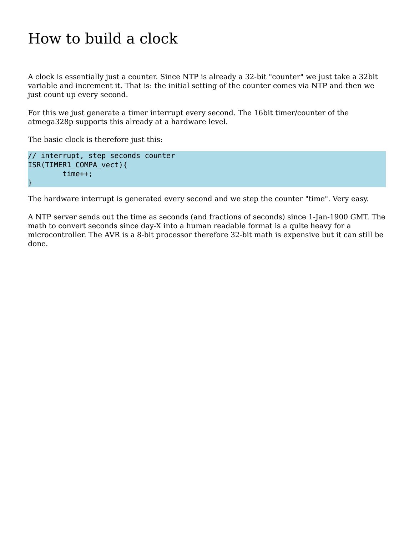## How to build a clock

A clock is essentially just a counter. Since NTP is already a 32-bit "counter" we just take a 32bit variable and increment it. That is: the initial setting of the counter comes via NTP and then we just count up every second.

For this we just generate a timer interrupt every second. The 16bit timer/counter of the atmega328p supports this already at a hardware level.

The basic clock is therefore just this:

```
// interrupt, step seconds counter
ISR(TIMER1_COMPA_vect){
         time++;
}
```
The hardware interrupt is generated every second and we step the counter "time". Very easy.

A NTP server sends out the time as seconds (and fractions of seconds) since 1-Jan-1900 GMT. The math to convert seconds since day-X into a human readable format is a quite heavy for a microcontroller. The AVR is a 8-bit processor therefore 32-bit math is expensive but it can still be done.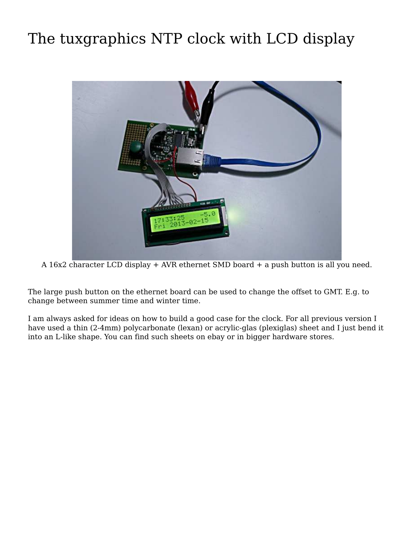# The tuxgraphics NTP clock with LCD display



A 16x2 character LCD display + AVR ethernet SMD board + a push button is all you need.

The large push button on the ethernet board can be used to change the offset to GMT. E.g. to change between summer time and winter time.

I am always asked for ideas on how to build a good case for the clock. For all previous version I have used a thin (2-4mm) polycarbonate (lexan) or acrylic-glas (plexiglas) sheet and I just bend it into an L-like shape. You can find such sheets on ebay or in bigger hardware stores.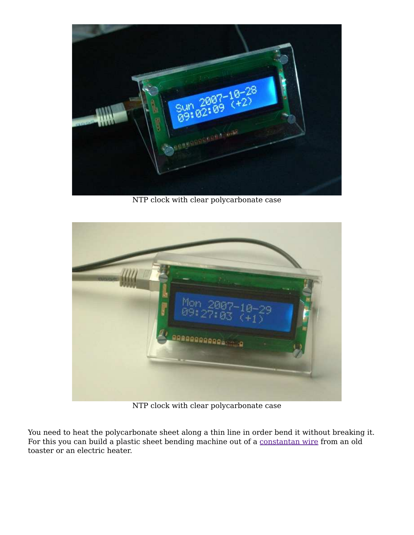

NTP clock with clear polycarbonate case



NTP clock with clear polycarbonate case

You need to heat the polycarbonate sheet along a thin line in order bend it without breaking it. For this you can build a plastic sheet bending machine out of a constantan wire from an old toaster or an electric heater.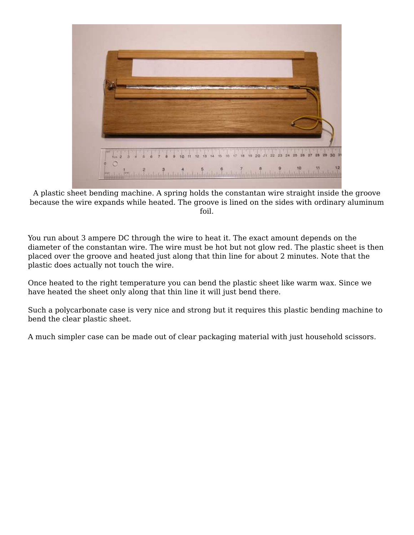

A plastic sheet bending machine. A spring holds the constantan wire straight inside the groove because the wire expands while heated. The groove is lined on the sides with ordinary aluminum foil.

You run about 3 ampere DC through the wire to heat it. The exact amount depends on the diameter of the constantan wire. The wire must be hot but not glow red. The plastic sheet is then placed over the groove and heated just along that thin line for about 2 minutes. Note that the plastic does actually not touch the wire.

Once heated to the right temperature you can bend the plastic sheet like warm wax. Since we have heated the sheet only along that thin line it will just bend there.

Such a polycarbonate case is very nice and strong but it requires this plastic bending machine to bend the clear plastic sheet.

A much simpler case can be made out of clear packaging material with just household scissors.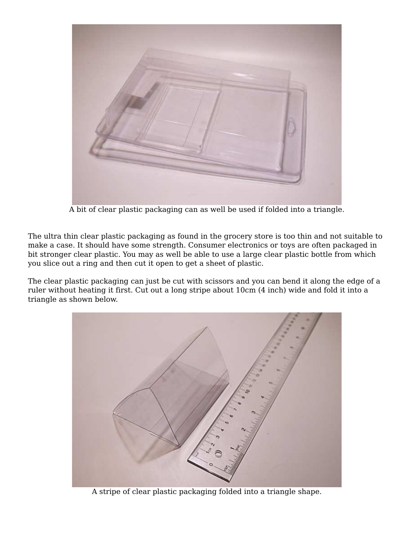

A bit of clear plastic packaging can as well be used if folded into a triangle.

The ultra thin clear plastic packaging as found in the grocery store is too thin and not suitable to make a case. It should have some strength. Consumer electronics or toys are often packaged in bit stronger clear plastic. You may as well be able to use a large clear plastic bottle from which you slice out a ring and then cut it open to get a sheet of plastic.

The clear plastic packaging can just be cut with scissors and you can bend it along the edge of a ruler without heating it first. Cut out a long stripe about 10cm (4 inch) wide and fold it into a triangle as shown below.



A stripe of clear plastic packaging folded into a triangle shape.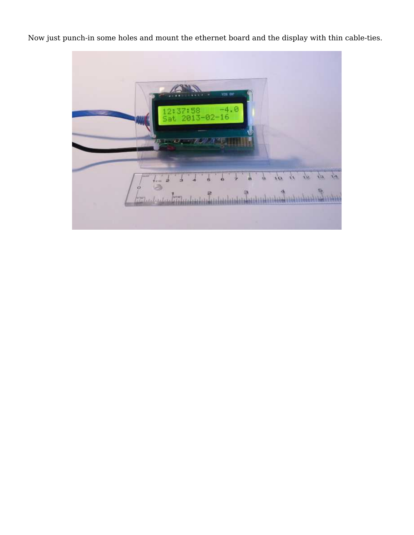Now just punch-in some holes and mount the ethernet board and the display with thin cable-ties.

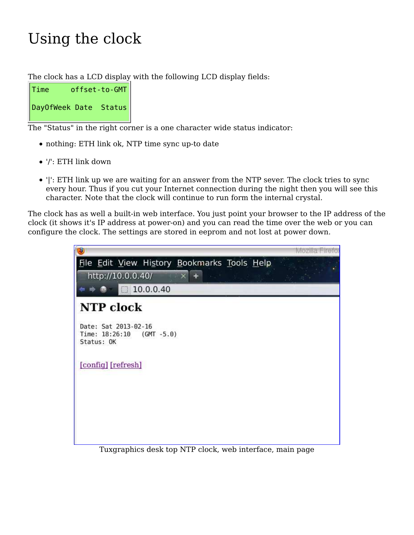# Using the clock

The clock has a LCD display with the following LCD display fields:

| Time                  | offset-to-GMT |
|-----------------------|---------------|
| DayOfWeek Date Status |               |

The "Status" in the right corner is a one character wide status indicator:

- nothing: ETH link ok, NTP time sync up-to date
- '/': ETH link down
- '|': ETH link up we are waiting for an answer from the NTP sever. The clock tries to sync every hour. Thus if you cut your Internet connection during the night then you will see this character. Note that the clock will continue to run form the internal crystal.

The clock has as well a built-in web interface. You just point your browser to the IP address of the clock (it shows it's IP address at power-on) and you can read the time over the web or you can configure the clock. The settings are stored in eeprom and not lost at power down.



Tuxgraphics desk top NTP clock, web interface, main page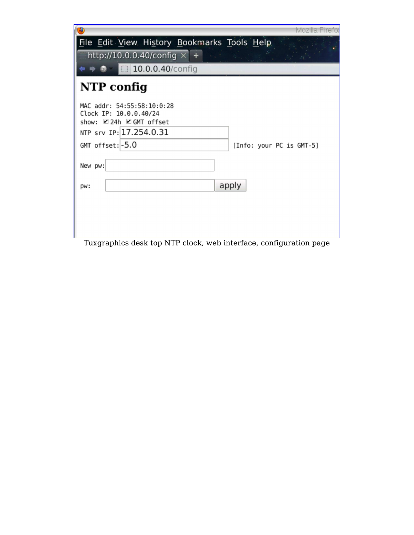| Mozilla Firefo                                                                |
|-------------------------------------------------------------------------------|
| File Edit View History Bookmarks Tools Help                                   |
| http://10.0.0.40/config $\times$ +                                            |
| $\Box$ 10.0.0.40/config                                                       |
| NTP config                                                                    |
| MAC addr: 54:55:58:10:0:28<br>Clock IP: 10.0.0.40/24<br>show: 24h ØGMT offset |
| NTP srv IP: 17.254.0.31                                                       |
| $GMT$ offset: $-5.0$<br>[Info: your PC is GMT-5]                              |
| New pw:                                                                       |
| apply<br>DW:                                                                  |
|                                                                               |
|                                                                               |
|                                                                               |

Tuxgraphics desk top NTP clock, web interface, configuration page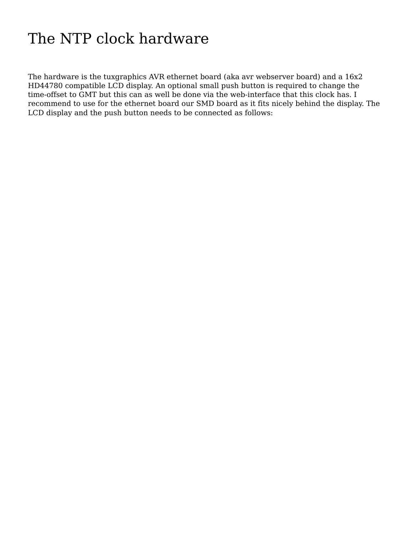## The NTP clock hardware

The hardware is the tuxgraphics AVR ethernet board (aka avr webserver board) and a 16x2 HD44780 compatible LCD display. An optional small push button is required to change the time-offset to GMT but this can as well be done via the web-interface that this clock has. I recommend to use for the ethernet board our SMD board as it fits nicely behind the display. The LCD display and the push button needs to be connected as follows: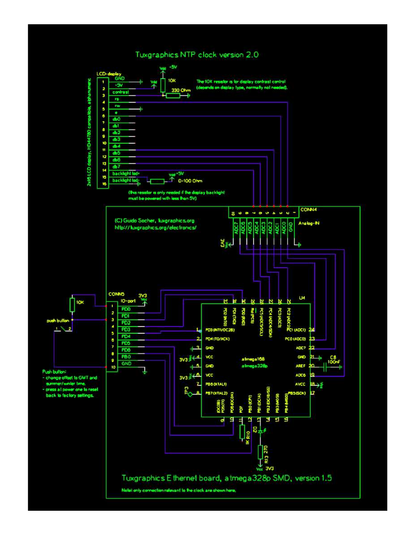#### Tuxgraphics NTP clock version 2.0

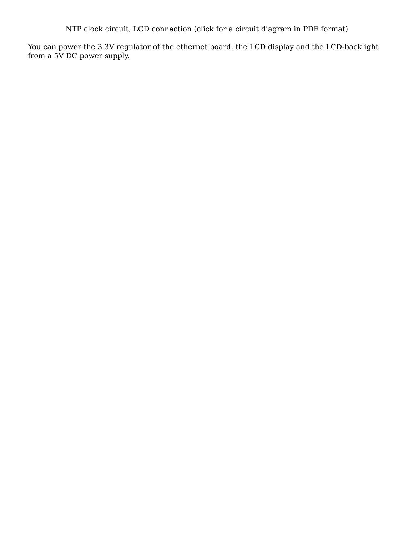NTP clock circuit, LCD connection (click for a circuit diagram in PDF format)

You can power the 3.3V regulator of the ethernet board, the LCD display and the LCD-backlight from a 5V DC power supply.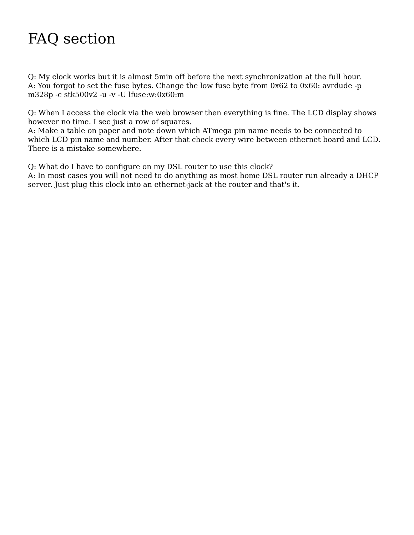# FAQ section

Q: My clock works but it is almost 5min off before the next synchronization at the full hour. A: You forgot to set the fuse bytes. Change the low fuse byte from 0x62 to 0x60: avrdude -p m328p -c stk500v2 -u -v -U lfuse:w:0x60:m

Q: When I access the clock via the web browser then everything is fine. The LCD display shows however no time. I see just a row of squares.

A: Make a table on paper and note down which ATmega pin name needs to be connected to which LCD pin name and number. After that check every wire between ethernet board and LCD. There is a mistake somewhere.

Q: What do I have to configure on my DSL router to use this clock?

A: In most cases you will not need to do anything as most home DSL router run already a DHCP server. Just plug this clock into an ethernet-jack at the router and that's it.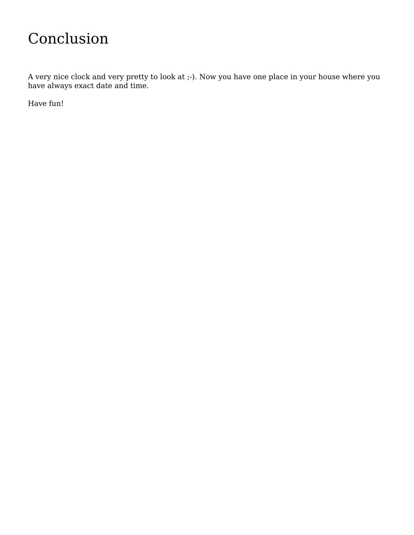#### Conclusion

A very nice clock and very pretty to look at ;-). Now you have one place in your house where you have always exact date and time.

Have fun!